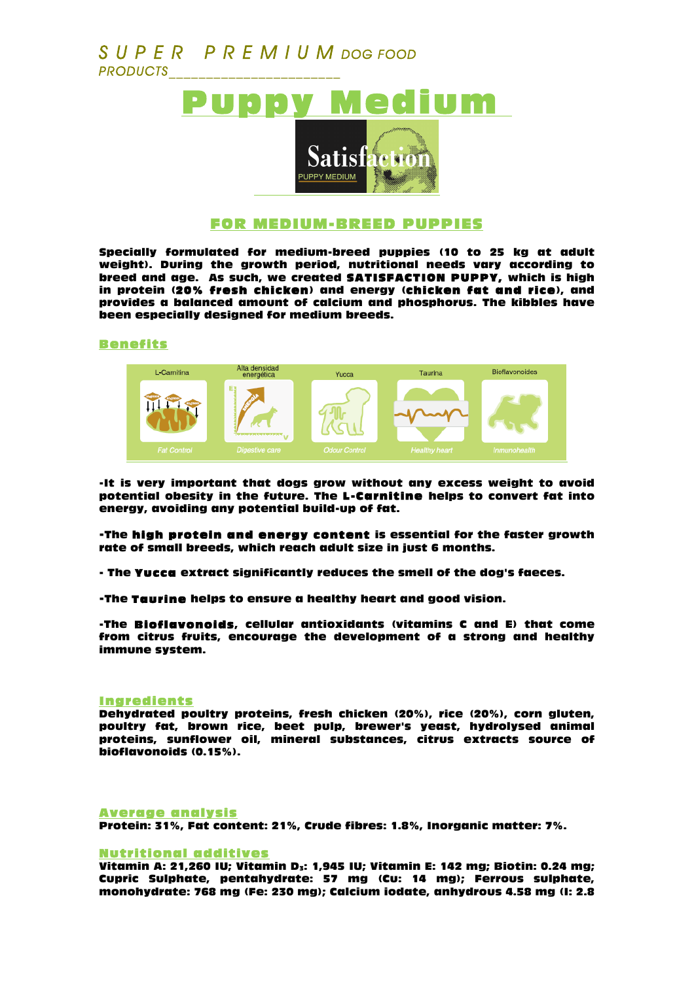# *S U P E R P R E M I U M DOG FOOD PRODUCTS\_\_\_\_\_\_\_\_\_\_\_\_\_\_\_\_\_\_\_\_\_\_\_*



### FOR MEDIUM-BREED PUPPIES

Specially formulated for medium-breed puppies (10 to 25 kg at adult weight). During the growth period, nutritional needs vary according to breed and age. As such, we created SATISFACTION PUPPY, which is high in protein (20% fresh chicken) and energy (chicken fat and rice), and provides a balanced amount of calcium and phosphorus. The kibbles have been especially designed for medium breeds.

#### Benefits



-It is very important that dogs grow without any excess weight to avoid potential obesity in the future. The L-Carnitine helps to convert fat into energy, avoiding any potential build-up of fat.

-The high protein and energy content is essential for the faster growth rate of small breeds, which reach adult size in just 6 months.

- The Yucca extract significantly reduces the smell of the dog's faeces.

-The Taurine helps to ensure a healthy heart and good vision.

-The Bioflavonoids, cellular antioxidants (vitamins C and E) that come from citrus fruits, encourage the development of a strong and healthy immune system.

#### **Ingredients**

Dehydrated poultry proteins, fresh chicken (20%), rice (20%), corn gluten, poultry fat, brown rice, beet pulp, brewer's yeast, hydrolysed animal proteins, sunflower oil, mineral substances, citrus extracts source of bioflavonoids (0.15%).

#### Average analysis

Protein: 31%, Fat content: 21%, Crude fibres: 1.8%, Inorganic matter: 7%.

#### Nutritional additives

Vitamin A: 21,260 IU; Vitamin D<sub>3</sub>: 1,945 IU; Vitamin E: 142 mg; Biotin: 0.24 mg; Cupric Sulphate, pentahydrate: 57 mg (Cu: 14 mg); Ferrous sulphate, monohydrate: 768 mg (Fe: 230 mg); Calcium iodate, anhydrous 4.58 mg (I: 2.8